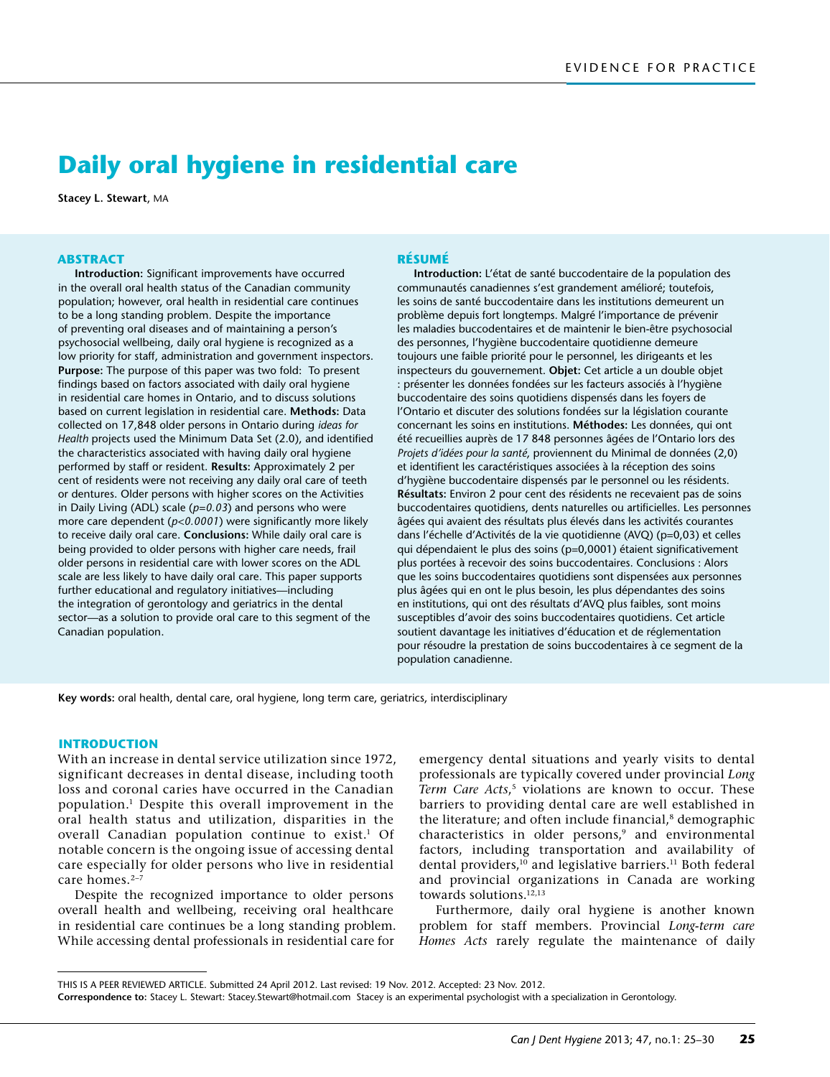# **Daily oral hygiene in residential care**

**Stacey L. Stewart**, MA

## **ABSTRACT**

**Introduction:** Significant improvements have occurred in the overall oral health status of the Canadian community population; however, oral health in residential care continues to be a long standing problem. Despite the importance of preventing oral diseases and of maintaining a person's psychosocial wellbeing, daily oral hygiene is recognized as a low priority for staff, administration and government inspectors. **Purpose:** The purpose of this paper was two fold: To present findings based on factors associated with daily oral hygiene in residential care homes in Ontario, and to discuss solutions based on current legislation in residential care. **Methods:** Data collected on 17,848 older persons in Ontario during *ideas for Health* projects used the Minimum Data Set (2.0), and identified the characteristics associated with having daily oral hygiene performed by staff or resident. **Results:** Approximately 2 per cent of residents were not receiving any daily oral care of teeth or dentures. Older persons with higher scores on the Activities in Daily Living (ADL) scale (*p=0.03*) and persons who were more care dependent (*p<0.0001*) were significantly more likely to receive daily oral care. **Conclusions:** While daily oral care is being provided to older persons with higher care needs, frail older persons in residential care with lower scores on the ADL scale are less likely to have daily oral care. This paper supports further educational and regulatory initiatives—including the integration of gerontology and geriatrics in the dental sector—as a solution to provide oral care to this segment of the Canadian population.

# **RÉSUMÉ**

**Introduction:** L'état de santé buccodentaire de la population des communautés canadiennes s'est grandement amélioré; toutefois, les soins de santé buccodentaire dans les institutions demeurent un problème depuis fort longtemps. Malgré l'importance de prévenir les maladies buccodentaires et de maintenir le bien-être psychosocial des personnes, l'hygiène buccodentaire quotidienne demeure toujours une faible priorité pour le personnel, les dirigeants et les inspecteurs du gouvernement. **Objet:** Cet article a un double objet : présenter les données fondées sur les facteurs associés à l'hygiène buccodentaire des soins quotidiens dispensés dans les foyers de l'Ontario et discuter des solutions fondées sur la législation courante concernant les soins en institutions. **Méthodes:** Les données, qui ont été recueillies auprès de 17 848 personnes âgées de l'Ontario lors des *Projets d'idées pour la santé*, proviennent du Minimal de données (2,0) et identifient les caractéristiques associées à la réception des soins d'hygiène buccodentaire dispensés par le personnel ou les résidents. **Résultats:** Environ 2 pour cent des résidents ne recevaient pas de soins buccodentaires quotidiens, dents naturelles ou artificielles. Les personnes âgées qui avaient des résultats plus élevés dans les activités courantes dans l'échelle d'Activités de la vie quotidienne (AVQ) (p=0,03) et celles qui dépendaient le plus des soins (p=0,0001) étaient significativement plus portées à recevoir des soins buccodentaires. Conclusions : Alors que les soins buccodentaires quotidiens sont dispensées aux personnes plus âgées qui en ont le plus besoin, les plus dépendantes des soins en institutions, qui ont des résultats d'AVQ plus faibles, sont moins susceptibles d'avoir des soins buccodentaires quotidiens. Cet article soutient davantage les initiatives d'éducation et de réglementation pour résoudre la prestation de soins buccodentaires à ce segment de la population canadienne.

**Key words:** oral health, dental care, oral hygiene, long term care, geriatrics, interdisciplinary

# **INTRODUCTION**

With an increase in dental service utilization since 1972, significant decreases in dental disease, including tooth loss and coronal caries have occurred in the Canadian population.1 Despite this overall improvement in the oral health status and utilization, disparities in the overall Canadian population continue to exist.<sup>1</sup> Of notable concern is the ongoing issue of accessing dental care especially for older persons who live in residential care homes.<sup>2-7</sup>

Despite the recognized importance to older persons overall health and wellbeing, receiving oral healthcare in residential care continues be a long standing problem. While accessing dental professionals in residential care for

emergency dental situations and yearly visits to dental professionals are typically covered under provincial *Long Term Care Acts*, 5 violations are known to occur. These barriers to providing dental care are well established in the literature; and often include financial,<sup>8</sup> demographic characteristics in older persons,<sup>9</sup> and environmental factors, including transportation and availability of dental providers,<sup>10</sup> and legislative barriers.<sup>11</sup> Both federal and provincial organizations in Canada are working towards solutions.12,13

Furthermore, daily oral hygiene is another known problem for staff members. Provincial *Long-term care Homes Acts* rarely regulate the maintenance of daily

This is a peer reviewed article. Submitted 24 April 2012. Last revised: 19 Nov. 2012. Accepted: 23 Nov. 2012.

**Correspondence to:** Stacey L. Stewart: Stacey.Stewart@hotmail.com Stacey is an experimental psychologist with a specialization in Gerontology.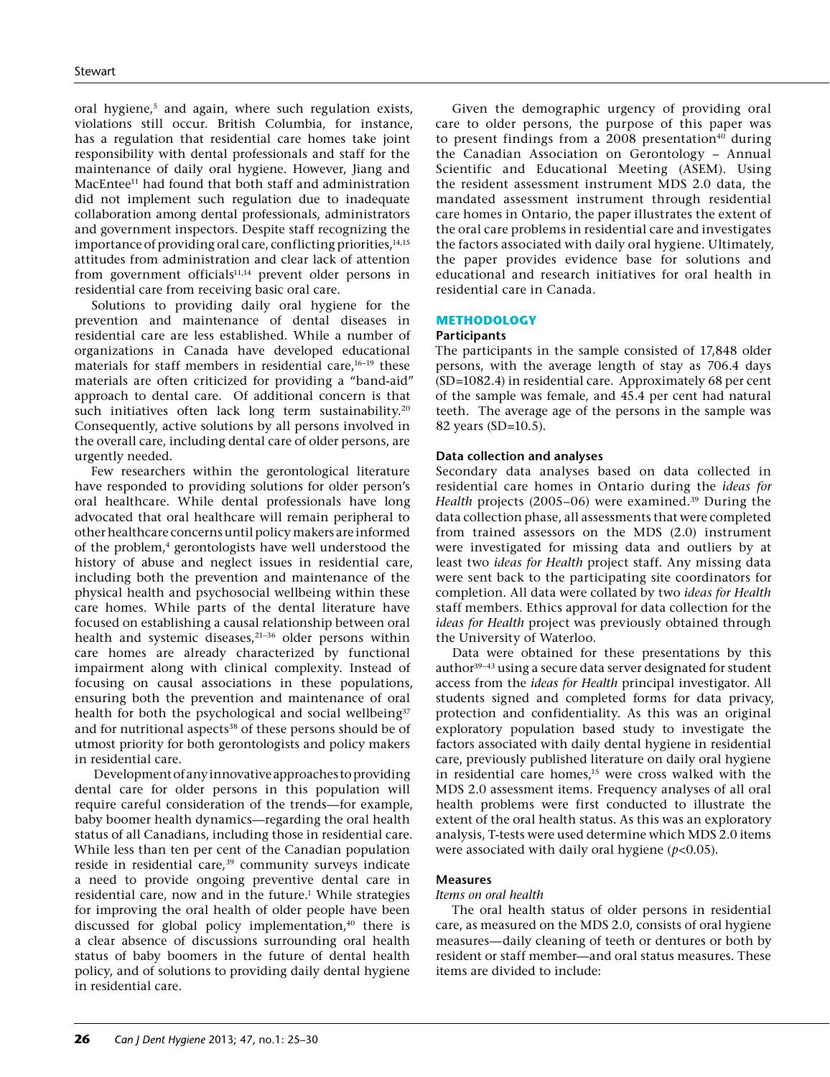oral hygiene,<sup>5</sup> and again, where such regulation exists, violations still occur. British Columbia, for instance, has a regulation that residential care homes take joint responsibility with dental professionals and staff for the maintenance of daily oral hygiene. However, Jiang and MacEntee<sup>11</sup> had found that both staff and administration did not implement such regulation due to inadequate collaboration among dental professionals, administrators and government inspectors. Despite staff recognizing the importance of providing oral care, conflicting priorities,  $14,15$ attitudes from administration and clear lack of attention from government officials<sup>11,14</sup> prevent older persons in residential care from receiving basic oral care.

Solutions to providing daily oral hygiene for the prevention and maintenance of dental diseases in residential care are less established. While a number of organizations in Canada have developed educational materials for staff members in residential care, $16-19$  these materials are often criticized for providing a "band-aid" approach to dental care. Of additional concern is that such initiatives often lack long term sustainability.<sup>20</sup> Consequently, active solutions by all persons involved in the overall care, including dental care of older persons, are urgently needed.

Few researchers within the gerontological literature have responded to providing solutions for older person's oral healthcare. While dental professionals have long advocated that oral healthcare will remain peripheral to other healthcare concerns until policy makers are informed of the problem, $4$  gerontologists have well understood the history of abuse and neglect issues in residential care, including both the prevention and maintenance of the physical health and psychosocial wellbeing within these care homes. While parts of the dental literature have focused on establishing a causal relationship between oral health and systemic diseases, $21-36$  older persons within care homes are already characterized by functional impairment along with clinical complexity. Instead of focusing on causal associations in these populations, ensuring both the prevention and maintenance of oral health for both the psychological and social wellbeing<sup>37</sup> and for nutritional aspects<sup>38</sup> of these persons should be of utmost priority for both gerontologists and policy makers in residential care.

 Development of any innovative approaches to providing dental care for older persons in this population will require careful consideration of the trends—for example, baby boomer health dynamics—regarding the oral health status of all Canadians, including those in residential care. While less than ten per cent of the Canadian population reside in residential care,<sup>39</sup> community surveys indicate a need to provide ongoing preventive dental care in residential care, now and in the future.<sup>1</sup> While strategies for improving the oral health of older people have been discussed for global policy implementation,<sup>40</sup> there is a clear absence of discussions surrounding oral health status of baby boomers in the future of dental health policy, and of solutions to providing daily dental hygiene in residential care.

Given the demographic urgency of providing oral care to older persons, the purpose of this paper was to present findings from a  $2008$  presentation<sup>40</sup> during the Canadian Association on Gerontology – Annual Scientific and Educational Meeting (ASEM). Using the resident assessment instrument MDS 2.0 data, the mandated assessment instrument through residential care homes in Ontario, the paper illustrates the extent of the oral care problems in residential care and investigates the factors associated with daily oral hygiene. Ultimately, the paper provides evidence base for solutions and educational and research initiatives for oral health in residential care in Canada.

## **METHODOLOGY**

## **Participants**

The participants in the sample consisted of 17,848 older persons, with the average length of stay as 706.4 days (SD=1082.4) in residential care. Approximately 68 per cent of the sample was female, and 45.4 per cent had natural teeth. The average age of the persons in the sample was 82 years (SD=10.5).

## **Data collection and analyses**

Secondary data analyses based on data collected in residential care homes in Ontario during the *ideas for Health* projects (2005–06) were examined.39 During the data collection phase, all assessments that were completed from trained assessors on the MDS (2.0) instrument were investigated for missing data and outliers by at least two *ideas for Health* project staff. Any missing data were sent back to the participating site coordinators for completion. All data were collated by two *ideas for Health* staff members. Ethics approval for data collection for the *ideas for Health* project was previously obtained through the University of Waterloo.

Data were obtained for these presentations by this author<sup>39-43</sup> using a secure data server designated for student access from the *ideas for Health* principal investigator. All students signed and completed forms for data privacy, protection and confidentiality. As this was an original exploratory population based study to investigate the factors associated with daily dental hygiene in residential care, previously published literature on daily oral hygiene in residential care homes,<sup>15</sup> were cross walked with the MDS 2.0 assessment items. Frequency analyses of all oral health problems were first conducted to illustrate the extent of the oral health status. As this was an exploratory analysis, T-tests were used determine which MDS 2.0 items were associated with daily oral hygiene (*p*<0.05).

## **Measures**

# *Items on oral health*

The oral health status of older persons in residential care, as measured on the MDS 2.0, consists of oral hygiene measures—daily cleaning of teeth or dentures or both by resident or staff member—and oral status measures. These items are divided to include: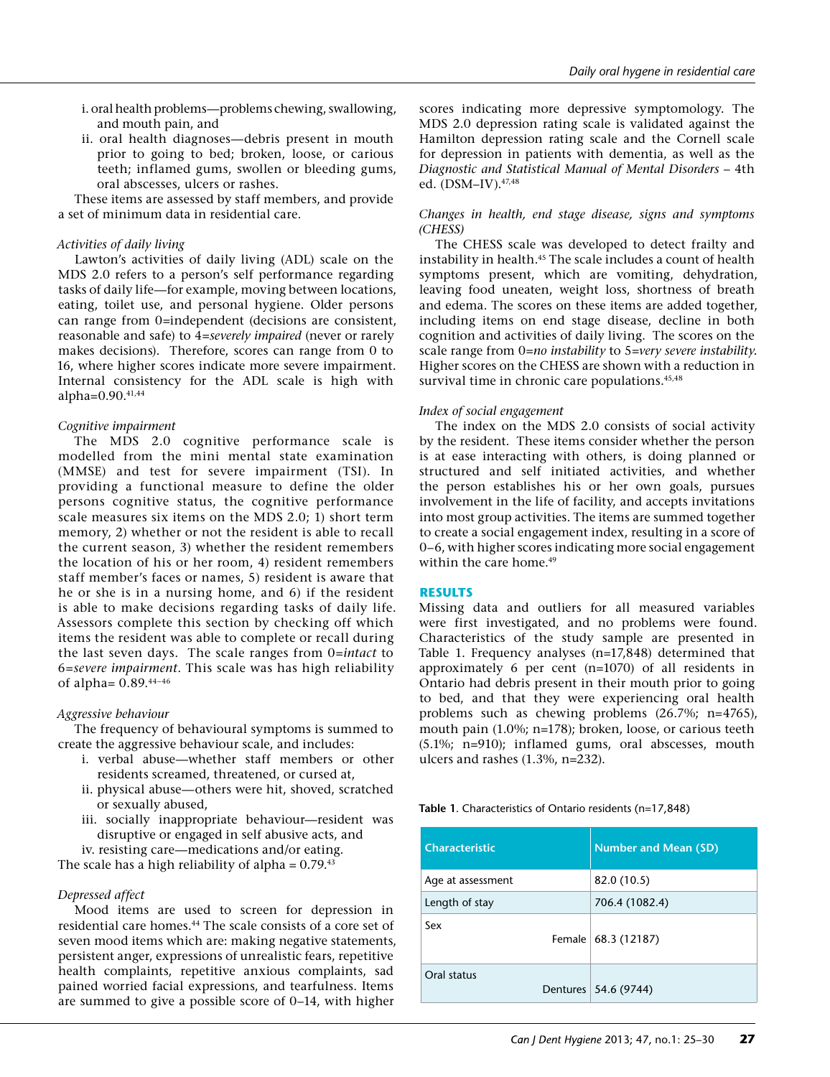- i. oral health problems—problems chewing, swallowing, and mouth pain, and
- ii. oral health diagnoses—debris present in mouth prior to going to bed; broken, loose, or carious teeth; inflamed gums, swollen or bleeding gums, oral abscesses, ulcers or rashes.

These items are assessed by staff members, and provide a set of minimum data in residential care.

# *Activities of daily living*

Lawton's activities of daily living (ADL) scale on the MDS 2.0 refers to a person's self performance regarding tasks of daily life—for example, moving between locations, eating, toilet use, and personal hygiene. Older persons can range from 0=independent (decisions are consistent, reasonable and safe) to 4=*severely impaired* (never or rarely makes decisions). Therefore, scores can range from 0 to 16, where higher scores indicate more severe impairment. Internal consistency for the ADL scale is high with alpha=0.90.41,44

# *Cognitive impairment*

The MDS 2.0 cognitive performance scale is modelled from the mini mental state examination (MMSE) and test for severe impairment (TSI). In providing a functional measure to define the older persons cognitive status, the cognitive performance scale measures six items on the MDS 2.0; 1) short term memory, 2) whether or not the resident is able to recall the current season, 3) whether the resident remembers the location of his or her room, 4) resident remembers staff member's faces or names, 5) resident is aware that he or she is in a nursing home, and 6) if the resident is able to make decisions regarding tasks of daily life. Assessors complete this section by checking off which items the resident was able to complete or recall during the last seven days. The scale ranges from 0=*intact* to 6=*severe impairment*. This scale was has high reliability of alpha= 0.89.44–46

# *Aggressive behaviour*

The frequency of behavioural symptoms is summed to create the aggressive behaviour scale, and includes:

- i. verbal abuse—whether staff members or other residents screamed, threatened, or cursed at,
- ii. physical abuse—others were hit, shoved, scratched or sexually abused,
- iii. socially inappropriate behaviour—resident was disruptive or engaged in self abusive acts, and
- iv. resisting care—medications and/or eating.

The scale has a high reliability of alpha =  $0.79^{43}$ 

# *Depressed affect*

Mood items are used to screen for depression in residential care homes.44 The scale consists of a core set of seven mood items which are: making negative statements, persistent anger, expressions of unrealistic fears, repetitive health complaints, repetitive anxious complaints, sad pained worried facial expressions, and tearfulness. Items are summed to give a possible score of 0–14, with higher

scores indicating more depressive symptomology. The MDS 2.0 depression rating scale is validated against the Hamilton depression rating scale and the Cornell scale for depression in patients with dementia, as well as the *Diagnostic and Statistical Manual of Mental Disorders* – 4th ed. (DSM-IV).<sup>47,48</sup>

# *Changes in health, end stage disease, signs and symptoms (CHESS)*

The CHESS scale was developed to detect frailty and instability in health.<sup>45</sup> The scale includes a count of health symptoms present, which are vomiting, dehydration, leaving food uneaten, weight loss, shortness of breath and edema. The scores on these items are added together, including items on end stage disease, decline in both cognition and activities of daily living. The scores on the scale range from 0=*no instability* to 5=*very severe instability.* Higher scores on the CHESS are shown with a reduction in survival time in chronic care populations.<sup>45,48</sup>

# *Index of social engagement*

The index on the MDS 2.0 consists of social activity by the resident. These items consider whether the person is at ease interacting with others, is doing planned or structured and self initiated activities, and whether the person establishes his or her own goals, pursues involvement in the life of facility, and accepts invitations into most group activities. The items are summed together to create a social engagement index, resulting in a score of 0–6, with higher scores indicating more social engagement within the care home.<sup>49</sup>

# **RESULTS**

Missing data and outliers for all measured variables were first investigated, and no problems were found. Characteristics of the study sample are presented in Table 1. Frequency analyses (n=17,848) determined that approximately 6 per cent (n=1070) of all residents in Ontario had debris present in their mouth prior to going to bed, and that they were experiencing oral health problems such as chewing problems (26.7%; n=4765), mouth pain (1.0%; n=178); broken, loose, or carious teeth (5.1%; n=910); inflamed gums, oral abscesses, mouth ulcers and rashes (1.3%, n=232).

**Table 1**. Characteristics of Ontario residents (n=17,848)

| <b>Characteristic</b> | <b>Number and Mean (SD)</b> |
|-----------------------|-----------------------------|
| Age at assessment     | 82.0 (10.5)                 |
| Length of stay        | 706.4 (1082.4)              |
| Sex                   | Female   68.3 (12187)       |
| Oral status           | Dentures   54.6 (9744)      |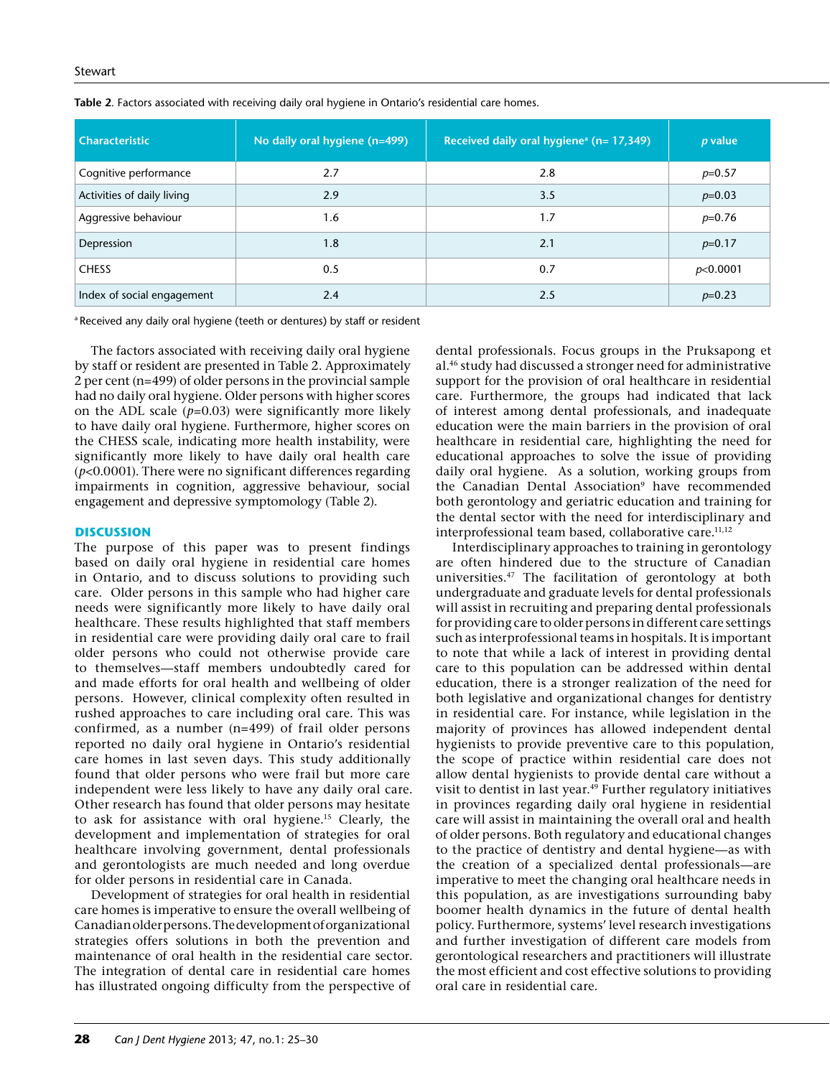| <b>Characteristic</b>      | No daily oral hygiene (n=499) | Received daily oral hygiene <sup>a</sup> (n= 17,349) | $p$ value |
|----------------------------|-------------------------------|------------------------------------------------------|-----------|
| Cognitive performance      | 2.7                           | 2.8                                                  | $p=0.57$  |
| Activities of daily living | 2.9                           | 3.5                                                  | $p=0.03$  |
| Aggressive behaviour       | 1.6                           | 1.7                                                  | $p=0.76$  |
| Depression                 | 1.8                           | 2.1                                                  | $p=0.17$  |
| <b>CHESS</b>               | 0.5                           | 0.7                                                  | p<0.0001  |
| Index of social engagement | 2.4                           | 2.5                                                  | $p=0.23$  |

**Table 2**. Factors associated with receiving daily oral hygiene in Ontario's residential care homes.

<sup>a</sup> Received any daily oral hygiene (teeth or dentures) by staff or resident

The factors associated with receiving daily oral hygiene by staff or resident are presented in Table 2. Approximately 2 per cent (n=499) of older persons in the provincial sample had no daily oral hygiene. Older persons with higher scores on the ADL scale  $(p=0.03)$  were significantly more likely to have daily oral hygiene. Furthermore, higher scores on the CHESS scale, indicating more health instability, were significantly more likely to have daily oral health care (*p*<0.0001). There were no significant differences regarding impairments in cognition, aggressive behaviour, social engagement and depressive symptomology (Table 2).

# **DISCUSSION**

The purpose of this paper was to present findings based on daily oral hygiene in residential care homes in Ontario, and to discuss solutions to providing such care. Older persons in this sample who had higher care needs were significantly more likely to have daily oral healthcare. These results highlighted that staff members in residential care were providing daily oral care to frail older persons who could not otherwise provide care to themselves—staff members undoubtedly cared for and made efforts for oral health and wellbeing of older persons. However, clinical complexity often resulted in rushed approaches to care including oral care. This was confirmed, as a number (n=499) of frail older persons reported no daily oral hygiene in Ontario's residential care homes in last seven days. This study additionally found that older persons who were frail but more care independent were less likely to have any daily oral care. Other research has found that older persons may hesitate to ask for assistance with oral hygiene.15 Clearly, the development and implementation of strategies for oral healthcare involving government, dental professionals and gerontologists are much needed and long overdue for older persons in residential care in Canada.

Development of strategies for oral health in residential care homes is imperative to ensure the overall wellbeing of Canadian older persons. The development of organizational strategies offers solutions in both the prevention and maintenance of oral health in the residential care sector. The integration of dental care in residential care homes has illustrated ongoing difficulty from the perspective of

dental professionals. Focus groups in the Pruksapong et al.46 study had discussed a stronger need for administrative support for the provision of oral healthcare in residential care. Furthermore, the groups had indicated that lack of interest among dental professionals, and inadequate education were the main barriers in the provision of oral healthcare in residential care, highlighting the need for educational approaches to solve the issue of providing daily oral hygiene. As a solution, working groups from the Canadian Dental Association<sup>9</sup> have recommended both gerontology and geriatric education and training for the dental sector with the need for interdisciplinary and interprofessional team based, collaborative care.<sup>11,12</sup>

Interdisciplinary approaches to training in gerontology are often hindered due to the structure of Canadian universities.47 The facilitation of gerontology at both undergraduate and graduate levels for dental professionals will assist in recruiting and preparing dental professionals for providing care to older persons in different care settings such as interprofessional teams in hospitals. It is important to note that while a lack of interest in providing dental care to this population can be addressed within dental education, there is a stronger realization of the need for both legislative and organizational changes for dentistry in residential care. For instance, while legislation in the majority of provinces has allowed independent dental hygienists to provide preventive care to this population, the scope of practice within residential care does not allow dental hygienists to provide dental care without a visit to dentist in last year.<sup>49</sup> Further regulatory initiatives in provinces regarding daily oral hygiene in residential care will assist in maintaining the overall oral and health of older persons. Both regulatory and educational changes to the practice of dentistry and dental hygiene—as with the creation of a specialized dental professionals—are imperative to meet the changing oral healthcare needs in this population, as are investigations surrounding baby boomer health dynamics in the future of dental health policy. Furthermore, systems' level research investigations and further investigation of different care models from gerontological researchers and practitioners will illustrate the most efficient and cost effective solutions to providing oral care in residential care.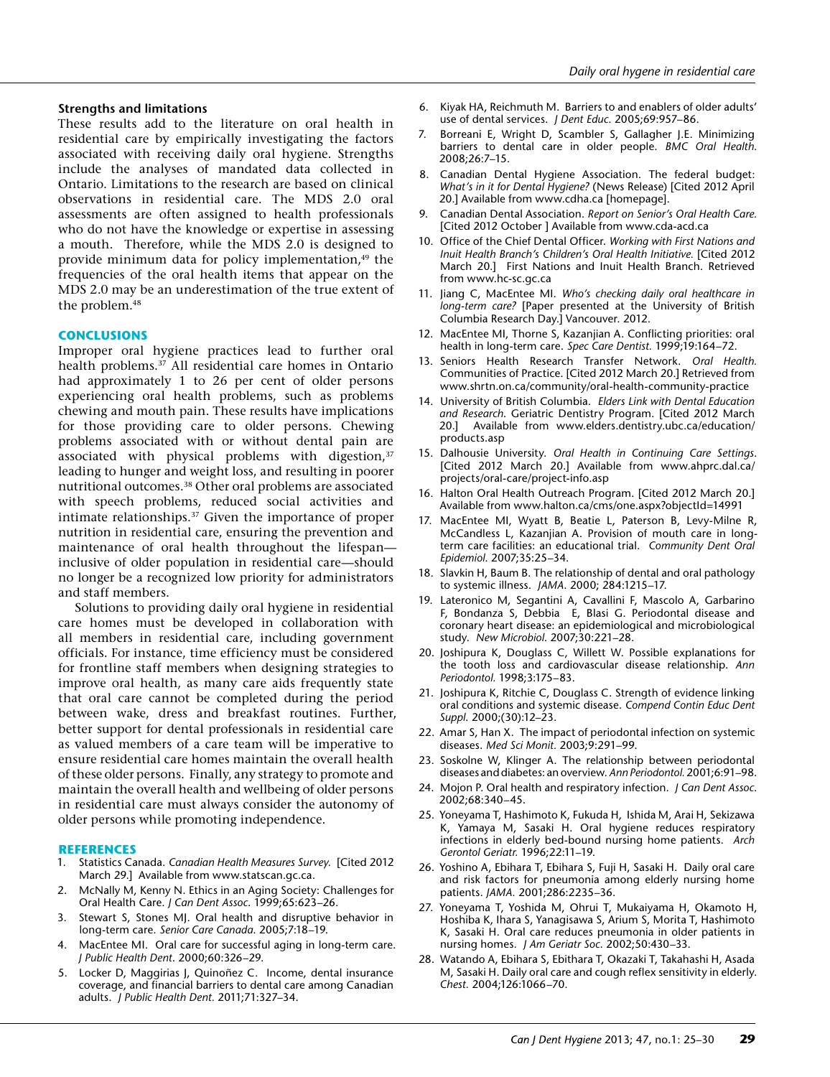## **Strengths and limitations**

These results add to the literature on oral health in residential care by empirically investigating the factors associated with receiving daily oral hygiene. Strengths include the analyses of mandated data collected in Ontario. Limitations to the research are based on clinical observations in residential care. The MDS 2.0 oral assessments are often assigned to health professionals who do not have the knowledge or expertise in assessing a mouth. Therefore, while the MDS 2.0 is designed to provide minimum data for policy implementation,<sup>49</sup> the frequencies of the oral health items that appear on the MDS 2.0 may be an underestimation of the true extent of the problem.<sup>48</sup>

## **CONCLUSIONS**

Improper oral hygiene practices lead to further oral health problems.<sup>37</sup> All residential care homes in Ontario had approximately 1 to 26 per cent of older persons experiencing oral health problems, such as problems chewing and mouth pain. These results have implications for those providing care to older persons. Chewing problems associated with or without dental pain are associated with physical problems with digestion,<sup>37</sup> leading to hunger and weight loss, and resulting in poorer nutritional outcomes.38 Other oral problems are associated with speech problems, reduced social activities and intimate relationships.37 Given the importance of proper nutrition in residential care, ensuring the prevention and maintenance of oral health throughout the lifespan inclusive of older population in residential care—should no longer be a recognized low priority for administrators and staff members.

Solutions to providing daily oral hygiene in residential care homes must be developed in collaboration with all members in residential care, including government officials. For instance, time efficiency must be considered for frontline staff members when designing strategies to improve oral health, as many care aids frequently state that oral care cannot be completed during the period between wake, dress and breakfast routines. Further, better support for dental professionals in residential care as valued members of a care team will be imperative to ensure residential care homes maintain the overall health of these older persons. Finally, any strategy to promote and maintain the overall health and wellbeing of older persons in residential care must always consider the autonomy of older persons while promoting independence.

## **References**

- 1. Statistics Canada. *Canadian Health Measures Survey.* [Cited 2012 March 29.] Available from www.statscan.gc.ca.
- 2. McNally M, Kenny N. Ethics in an Aging Society: Challenges for Oral Health Care. *J Can Dent Assoc*. 1999;65:623–26.
- 3. Stewart S, Stones MJ. Oral health and disruptive behavior in long-term care. *Senior Care Canada*. 2005;7:18–19.
- 4. MacEntee MI. Oral care for successful aging in long-term care. *J Public Health Dent*. 2000;60:326–29.
- 5. Locker D, Maggirias J, Quinoñez C. Income, dental insurance coverage, and financial barriers to dental care among Canadian adults. *J Public Health Dent.* 2011;71:327–34.
- 6. Kiyak HA, Reichmuth M. Barriers to and enablers of older adults' use of dental services. *J Dent Educ*. 2005;69:957–86.
- 7. Borreani E, Wright D, Scambler S, Gallagher J.E. Minimizing barriers to dental care in older people. *BMC Oral Health*. 2008;26:7–15.
- 8. Canadian Dental Hygiene Association. The federal budget: *What's in it for Dental Hygiene?* (News Release) [Cited 2012 April 20.] Available from www.cdha.ca [homepage].
- 9. Canadian Dental Association. *Report on Senior's Oral Health Care.* [Cited 2012 October ] Available from www.cda-acd.ca
- 10. Office of the Chief Dental Officer. *Working with First Nations and Inuit Health Branch's Children's Oral Health Initiative.* [Cited 2012 March 20.] First Nations and Inuit Health Branch. Retrieved from www.hc-sc.gc.ca
- 11. Jiang C, MacEntee MI. *Who's checking daily oral healthcare in*  long-term care? [Paper presented at the University of British Columbia Research Day.] Vancouver. 2012.
- 12. MacEntee MI, Thorne S, Kazanjian A. Conflicting priorities: oral health in long-term care. *Spec Care Dentist.* 1999;19:164–72.
- 13. Seniors Health Research Transfer Network. *Oral Health.* Communities of Practice. [Cited 2012 March 20.] Retrieved from www.shrtn.on.ca/community/oral-health-community-practice
- 14. University of British Columbia. *Elders Link with Dental Education and Research*. Geriatric Dentistry Program. [Cited 2012 March 20.] Available from www.elders.dentistry.ubc.ca/education/ products.asp
- 15. Dalhousie University. *Oral Health in Continuing Care Settings*. [Cited 2012 March 20.] Available from www.ahprc.dal.ca/ projects/oral-care/project-info.asp
- 16. Halton Oral Health Outreach Program. [Cited 2012 March 20.] Available from www.halton.ca/cms/one.aspx?objectId=14991
- 17. MacEntee MI, Wyatt B, Beatie L, Paterson B, Levy-Milne R, McCandless L, Kazanjian A. Provision of mouth care in longterm care facilities: an educational trial. *Community Dent Oral Epidemiol*. 2007;35:25–34.
- 18. Slavkin H, Baum B. The relationship of dental and oral pathology to systemic illness. *JAMA*. 2000; 284:1215–17.
- 19. Lateronico M, Segantini A, Cavallini F, Mascolo A, Garbarino F, Bondanza S, Debbia E, Blasi G. Periodontal disease and coronary heart disease: an epidemiological and microbiological study. *New Microbiol*. 2007;30:221–28.
- 20. Joshipura K, Douglass C, Willett W. Possible explanations for the tooth loss and cardiovascular disease relationship. *Ann Periodontol.* 1998;3:175–83.
- 21. Joshipura K, Ritchie C, Douglass C. Strength of evidence linking oral conditions and systemic disease. *Compend Contin Educ Dent Suppl*. 2000;(30):12–23.
- 22. Amar S, Han X. The impact of periodontal infection on systemic diseases. *Med Sci Monit.* 2003;9:291–99.
- 23. Soskolne W, Klinger A. The relationship between periodontal diseases and diabetes: an overview. *Ann Periodontol.* 2001;6:91–98.
- 24. Mojon P. Oral health and respiratory infection. *J Can Dent Assoc*. 2002;68:340–45.
- 25. Yoneyama T, Hashimoto K, Fukuda H, Ishida M, Arai H, Sekizawa K, Yamaya M, Sasaki H. Oral hygiene reduces respiratory infections in elderly bed-bound nursing home patients. *Arch Gerontol Geriatr.* 1996;22:11–19.
- 26. Yoshino A, Ebihara T, Ebihara S, Fuji H, Sasaki H. Daily oral care and risk factors for pneumonia among elderly nursing home patients. *JAMA*. 2001;286:2235–36.
- 27. Yoneyama T, Yoshida M, Ohrui T, Mukaiyama H, Okamoto H, Hoshiba K, Ihara S, Yanagisawa S, Arium S, Morita T, Hashimoto K, Sasaki H. Oral care reduces pneumonia in older patients in nursing homes. *J Am Geriatr Soc*. 2002;50:430–33.
- 28. Watando A, Ebihara S, Ebithara T, Okazaki T, Takahashi H, Asada M, Sasaki H. Daily oral care and cough reflex sensitivity in elderly. *Chest.* 2004;126:1066–70.